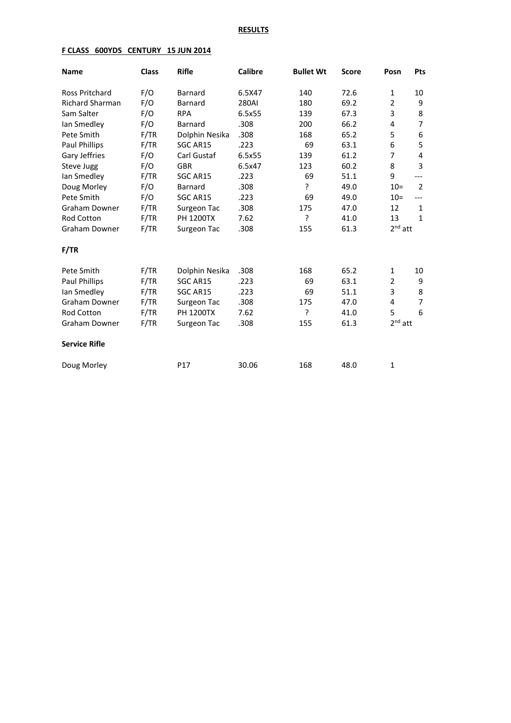### **RESULTS**

### **F CLASS 600YDS CENTURY 15 JUN 2014**

| <b>Name</b>            | <b>Class</b> | <b>Rifle</b>     | <b>Calibre</b> | <b>Bullet Wt</b> | <b>Score</b> | Posn           | Pts            |
|------------------------|--------------|------------------|----------------|------------------|--------------|----------------|----------------|
| <b>Ross Pritchard</b>  | F/O          | <b>Barnard</b>   | 6.5X47         | 140              | 72.6         | $\mathbf{1}$   | 10             |
| <b>Richard Sharman</b> | F/O          | Barnard          | 280AI          | 180              | 69.2         | $\overline{2}$ | 9              |
| Sam Salter             | F/O          | <b>RPA</b>       | 6.5x55         | 139              | 67.3         | 3              | 8              |
| lan Smedley            | F/O          | Barnard          | .308           | 200              | 66.2         | 4              | $\overline{7}$ |
| Pete Smith             | F/TR         | Dolphin Nesika   | .308           | 168              | 65.2         | 5              | 6              |
| Paul Phillips          | F/TR         | SGC AR15         | .223           | 69               | 63.1         | 6              | 5              |
| Gary Jeffries          | F/O          | Carl Gustaf      | 6.5x55         | 139              | 61.2         | $\overline{7}$ | 4              |
| Steve Jugg             | F/O          | <b>GBR</b>       | 6.5x47         | 123              | 60.2         | 8              | 3              |
| lan Smedley            | F/TR         | SGC AR15         | .223           | 69               | 51.1         | 9              | ---            |
| Doug Morley            | F/O          | Barnard          | .308           | ?                | 49.0         | $10=$          | $\overline{2}$ |
| Pete Smith             | F/O          | SGC AR15         | .223           | 69               | 49.0         | $10=$          | ---            |
| <b>Graham Downer</b>   | F/TR         | Surgeon Tac      | .308           | 175              | 47.0         | 12             | $\mathbf{1}$   |
| <b>Rod Cotton</b>      | F/TR         | <b>PH 1200TX</b> | 7.62           | ?                | 41.0         | 13             | $\mathbf{1}$   |
| Graham Downer          | F/TR         | Surgeon Tac      | .308           | 155              | 61.3         | $2nd$ att      |                |
| F/TR                   |              |                  |                |                  |              |                |                |
| Pete Smith             | F/TR         | Dolphin Nesika   | .308           | 168              | 65.2         | $\mathbf{1}$   | 10             |
| Paul Phillips          | F/TR         | SGC AR15         | .223           | 69               | 63.1         | $\overline{2}$ | 9              |
| lan Smedley            | F/TR         | SGC AR15         | .223           | 69               | 51.1         | 3              | 8              |
| <b>Graham Downer</b>   | F/TR         | Surgeon Tac      | .308           | 175              | 47.0         | 4              | 7              |
| Rod Cotton             | F/TR         | <b>PH 1200TX</b> | 7.62           | ŗ                | 41.0         | 5              | 6              |
| Graham Downer          | F/TR         | Surgeon Tac      | .308           | 155              | 61.3         | $2nd$ att      |                |
| <b>Service Rifle</b>   |              |                  |                |                  |              |                |                |
| Doug Morley            |              | P17              | 30.06          | 168              | 48.0         | 1              |                |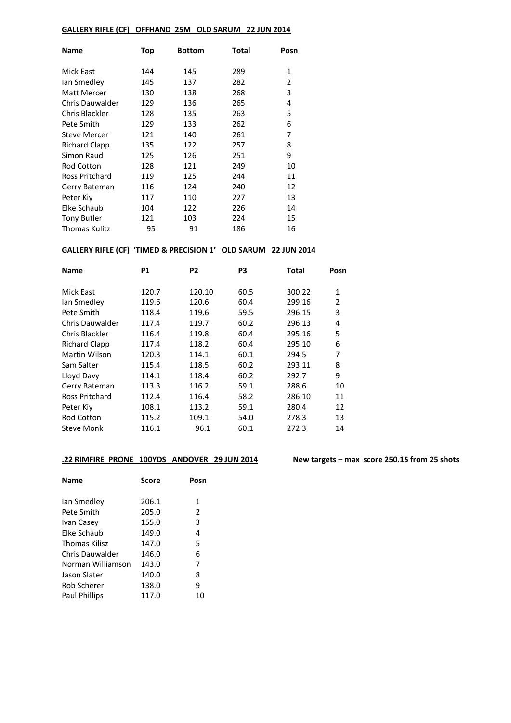### **GALLERY RIFLE (CF) OFFHAND 25M OLD SARUM 22 JUN 2014**

| Name                | Top | <b>Bottom</b> | Total | Posn |
|---------------------|-----|---------------|-------|------|
| Mick East           | 144 | 145           | 289   | 1    |
| lan Smedley         | 145 | 137           | 282   | 2    |
| Matt Mercer         | 130 | 138           | 268   | 3    |
| Chris Dauwalder     | 129 | 136           | 265   | 4    |
| Chris Blackler      | 128 | 135           | 263   | 5    |
| Pete Smith          | 129 | 133           | 262   | 6    |
| <b>Steve Mercer</b> | 121 | 140           | 261   | 7    |
| Richard Clapp       | 135 | 122           | 257   | 8    |
| Simon Raud          | 125 | 126           | 251   | 9    |
| <b>Rod Cotton</b>   | 128 | 121           | 249   | 10   |
| Ross Pritchard      | 119 | 125           | 244   | 11   |
| Gerry Bateman       | 116 | 124           | 240   | 12   |
| Peter Kiv           | 117 | 110           | 227   | 13   |
| Elke Schaub         | 104 | 122           | 226   | 14   |
| <b>Tony Butler</b>  | 121 | 103           | 224   | 15   |
| Thomas Kulitz       | 95  | 91            | 186   | 16   |

# **GALLERY RIFLE (CF) 'TIMED & PRECISION 1' OLD SARUM 22 JUN 2014**

| <b>Name</b>          | <b>P1</b> | P <sub>2</sub> | P3   | Total  | Posn |
|----------------------|-----------|----------------|------|--------|------|
| Mick East            | 120.7     | 120.10         | 60.5 | 300.22 | 1    |
| lan Smedley          | 119.6     | 120.6          | 60.4 | 299.16 | 2    |
| Pete Smith           | 118.4     | 119.6          | 59.5 | 296.15 | 3    |
| Chris Dauwalder      | 117.4     | 119.7          | 60.2 | 296.13 | 4    |
| Chris Blackler       | 116.4     | 119.8          | 60.4 | 295.16 | 5    |
| <b>Richard Clapp</b> | 117.4     | 118.2          | 60.4 | 295.10 | 6    |
| Martin Wilson        | 120.3     | 114.1          | 60.1 | 294.5  | 7    |
| Sam Salter           | 115.4     | 118.5          | 60.2 | 293.11 | 8    |
| Lloyd Davy           | 114.1     | 118.4          | 60.2 | 292.7  | 9    |
| Gerry Bateman        | 113.3     | 116.2          | 59.1 | 288.6  | 10   |
| Ross Pritchard       | 112.4     | 116.4          | 58.2 | 286.10 | 11   |
| Peter Kiv            | 108.1     | 113.2          | 59.1 | 280.4  | 12   |
| <b>Rod Cotton</b>    | 115.2     | 109.1          | 54.0 | 278.3  | 13   |
| Steve Monk           | 116.1     | 96.1           | 60.1 | 272.3  | 14   |

### **.22 RIMFIRE PRONE 100YDS ANDOVER 29 JUN 2014 New targets – max score 250.15 from 25 shots**

| Name                 | Score | Posn |
|----------------------|-------|------|
| lan Smedley          | 206.1 | 1    |
| Pete Smith           | 205.0 | 2    |
| Ivan Casey           | 155.0 | 3    |
| Elke Schaub          | 149.0 | 4    |
| Thomas Kilisz        | 147.0 | 5    |
| Chris Dauwalder      | 146.0 | 6    |
| Norman Williamson    | 143.0 | 7    |
| Jason Slater         | 140.0 | 8    |
| Rob Scherer          | 138.0 | 9    |
| <b>Paul Phillips</b> | 117.0 | 10   |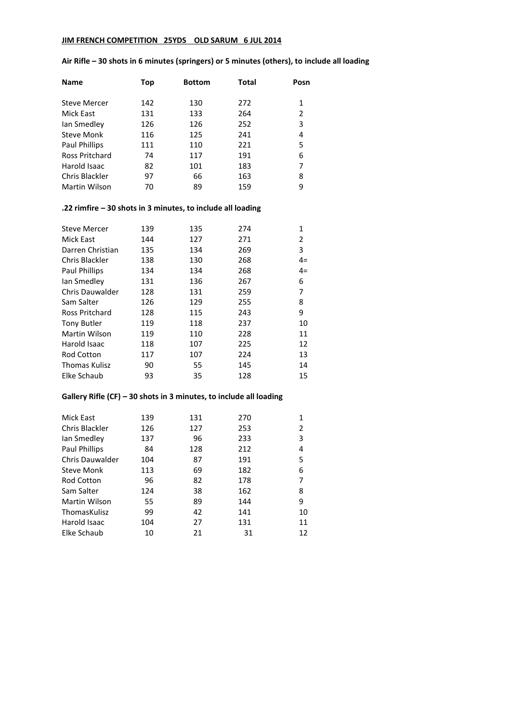# **JIM FRENCH COMPETITION 25YDS OLD SARUM 6 JUL 2014**

| <b>Name</b>         | Top | <b>Bottom</b> | Total | Posn |
|---------------------|-----|---------------|-------|------|
| <b>Steve Mercer</b> | 142 | 130           | 272   | 1    |
| Mick East           | 131 | 133           | 264   | 2    |
| lan Smedley         | 126 | 126           | 252   | 3    |
| <b>Steve Monk</b>   | 116 | 125           | 241   | 4    |
| Paul Phillips       | 111 | 110           | 221   | 5    |
| Ross Pritchard      | 74  | 117           | 191   | 6    |
| Harold Isaac        | 82  | 101           | 183   | 7    |
| Chris Blackler      | 97  | 66            | 163   | 8    |
| Martin Wilson       | 70  | 89            | 159   | 9    |

### **Air Rifle – 30 shots in 6 minutes (springers) or 5 minutes (others), to include all loading**

### **.22 rimfire – 30 shots in 3 minutes, to include all loading**

| Steve Mercer          | 139 | 135 | 274 | 1    |
|-----------------------|-----|-----|-----|------|
| Mick East             | 144 | 127 | 271 | 2    |
| Darren Christian      | 135 | 134 | 269 | 3    |
| Chris Blackler        | 138 | 130 | 268 | $4=$ |
| Paul Phillips         | 134 | 134 | 268 | $4=$ |
| lan Smedley           | 131 | 136 | 267 | 6    |
| Chris Dauwalder       | 128 | 131 | 259 | 7    |
| Sam Salter            | 126 | 129 | 255 | 8    |
| <b>Ross Pritchard</b> | 128 | 115 | 243 | 9    |
| <b>Tony Butler</b>    | 119 | 118 | 237 | 10   |
| Martin Wilson         | 119 | 110 | 228 | 11   |
| Harold Isaac          | 118 | 107 | 225 | 12   |
| <b>Rod Cotton</b>     | 117 | 107 | 224 | 13   |
| <b>Thomas Kulisz</b>  | 90  | 55  | 145 | 14   |
| Elke Schaub           | 93  | 35  | 128 | 15   |

# **Gallery Rifle (CF) – 30 shots in 3 minutes, to include all loading**

| Mick East              | 139 | 131 | 270 |    |
|------------------------|-----|-----|-----|----|
| Chris Blackler         | 126 | 127 | 253 | 2  |
| lan Smedley            | 137 | 96  | 233 | 3  |
| Paul Phillips          | 84  | 128 | 212 | 4  |
| <b>Chris Dauwalder</b> | 104 | 87  | 191 | 5  |
| Steve Monk             | 113 | 69  | 182 | 6  |
| <b>Rod Cotton</b>      | 96  | 82  | 178 |    |
| Sam Salter             | 124 | 38  | 162 | 8  |
| Martin Wilson          | 55  | 89  | 144 | 9  |
| ThomasKulisz           | 99  | 42  | 141 | 10 |
| Harold Isaac           | 104 | 27  | 131 | 11 |
| Elke Schaub            | 10  | 21  | 31  | 12 |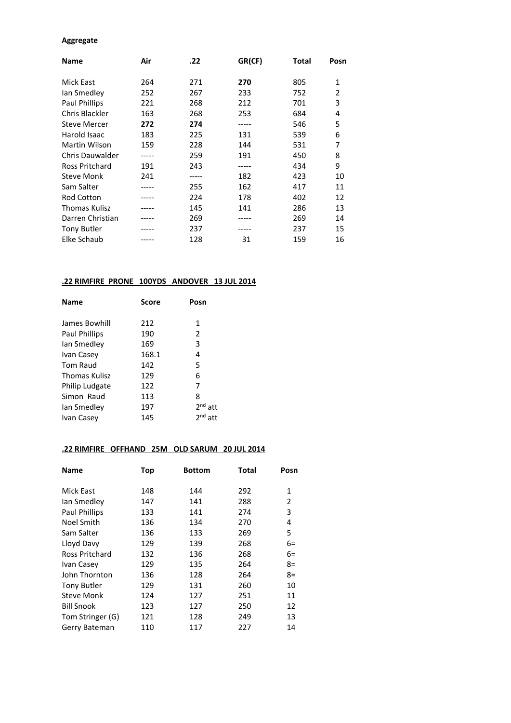#### **Aggregate**

| <b>Name</b>         | Air   | .22   | GR(CF) | Total | Posn         |
|---------------------|-------|-------|--------|-------|--------------|
| Mick East           | 264   | 271   | 270    | 805   | $\mathbf{1}$ |
| lan Smedley         | 252   | 267   | 233    | 752   | 2            |
| Paul Phillips       | 221   | 268   | 212    | 701   | 3            |
| Chris Blackler      | 163   | 268   | 253    | 684   | 4            |
| <b>Steve Mercer</b> | 272   | 274   | -----  | 546   | 5            |
| Harold Isaac        | 183   | 225   | 131    | 539   | 6            |
| Martin Wilson       | 159   | 228   | 144    | 531   | 7            |
| Chris Dauwalder     |       | 259   | 191    | 450   | 8            |
| Ross Pritchard      | 191   | 243   |        | 434   | 9            |
| <b>Steve Monk</b>   | 241   | ----- | 182    | 423   | 10           |
| Sam Salter          | ----- | 255   | 162    | 417   | 11           |
| <b>Rod Cotton</b>   |       | 224   | 178    | 402   | 12           |
| Thomas Kulisz       |       | 145   | 141    | 286   | 13           |
| Darren Christian    |       | 269   |        | 269   | 14           |
| <b>Tony Butler</b>  |       | 237   |        | 237   | 15           |
| Elke Schaub         |       | 128   | 31     | 159   | 16           |

# **.22 RIMFIRE PRONE 100YDS ANDOVER 13 JUL 2014**

| Name<br><b>Score</b>  | Posn      |
|-----------------------|-----------|
| James Bowhill<br>212  | 1         |
| 190<br>Paul Phillips  | 2         |
| 169<br>lan Smedley    | 3         |
| 168.1<br>Ivan Casey   | 4         |
| Tom Raud<br>142       | 5         |
| 129<br>Thomas Kulisz  | 6         |
| Philip Ludgate<br>122 | 7         |
| Simon Raud<br>113     | 8         |
| 197<br>lan Smedley    | $2nd$ att |
| 145<br>Ivan Casey     | $2nd$ att |

### **.22 RIMFIRE OFFHAND 25M OLD SARUM 20 JUL 2014**

| <b>Name</b>           | <b>Top</b> | <b>Bottom</b> | <b>Total</b> | Posn |
|-----------------------|------------|---------------|--------------|------|
| Mick East             | 148        | 144           | 292          | 1    |
| lan Smedley           | 147        | 141           | 288          | 2    |
| Paul Phillips         | 133        | 141           | 274          | 3    |
| Noel Smith            | 136        | 134           | 270          | 4    |
| Sam Salter            | 136        | 133           | 269          | 5    |
| Lloyd Davy            | 129        | 139           | 268          | 6=   |
| <b>Ross Pritchard</b> | 132        | 136           | 268          | $6=$ |
| Ivan Casey            | 129        | 135           | 264          | $8=$ |
| John Thornton         | 136        | 128           | 264          | $8=$ |
| <b>Tony Butler</b>    | 129        | 131           | 260          | 10   |
| Steve Monk            | 124        | 127           | 251          | 11   |
| <b>Bill Snook</b>     | 123        | 127           | 250          | 12   |
| Tom Stringer (G)      | 121        | 128           | 249          | 13   |
| Gerry Bateman         | 110        | 117           | 227          | 14   |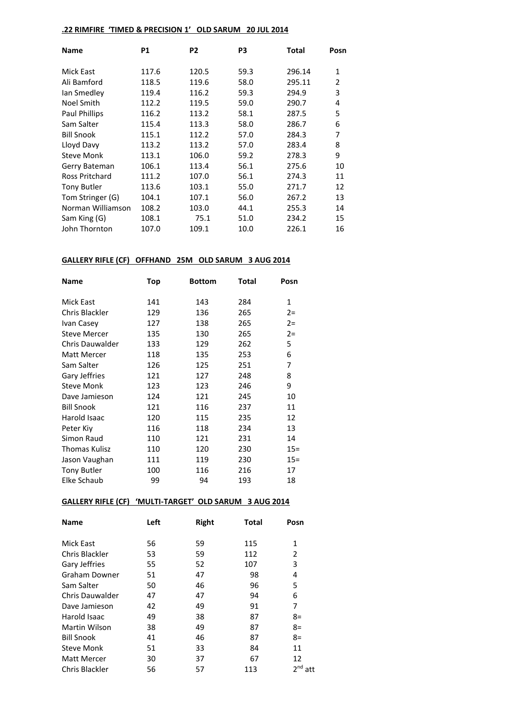# **.22 RIMFIRE 'TIMED & PRECISION 1' OLD SARUM 20 JUL 2014**

| <b>Name</b>        | <b>P1</b> | P <sub>2</sub> | P3   | Total  | Posn         |
|--------------------|-----------|----------------|------|--------|--------------|
| Mick East          | 117.6     | 120.5          | 59.3 | 296.14 | $\mathbf{1}$ |
| Ali Bamford        | 118.5     | 119.6          | 58.0 | 295.11 | 2            |
| lan Smedley        | 119.4     | 116.2          | 59.3 | 294.9  | 3            |
| Noel Smith         | 112.2     | 119.5          | 59.0 | 290.7  | 4            |
| Paul Phillips      | 116.2     | 113.2          | 58.1 | 287.5  | 5            |
| Sam Salter         | 115.4     | 113.3          | 58.0 | 286.7  | 6            |
| <b>Bill Snook</b>  | 115.1     | 112.2          | 57.0 | 284.3  | 7            |
| Lloyd Davy         | 113.2     | 113.2          | 57.0 | 283.4  | 8            |
| <b>Steve Monk</b>  | 113.1     | 106.0          | 59.2 | 278.3  | 9            |
| Gerry Bateman      | 106.1     | 113.4          | 56.1 | 275.6  | 10           |
| Ross Pritchard     | 111.2     | 107.0          | 56.1 | 274.3  | 11           |
| <b>Tony Butler</b> | 113.6     | 103.1          | 55.0 | 271.7  | 12           |
| Tom Stringer (G)   | 104.1     | 107.1          | 56.0 | 267.2  | 13           |
| Norman Williamson  | 108.2     | 103.0          | 44.1 | 255.3  | 14           |
| Sam King (G)       | 108.1     | 75.1           | 51.0 | 234.2  | 15           |
| John Thornton      | 107.0     | 109.1          | 10.0 | 226.1  | 16           |

### **GALLERY RIFLE (CF) OFFHAND 25M OLD SARUM 3 AUG 2014**

| Name                   | <b>Top</b> | <b>Bottom</b> | Total | Posn         |
|------------------------|------------|---------------|-------|--------------|
|                        |            |               |       |              |
| Mick East              | 141        | 143           | 284   | $\mathbf{1}$ |
| Chris Blackler         | 129        | 136           | 265   | $2 =$        |
| Ivan Casey             | 127        | 138           | 265   | $2 =$        |
| <b>Steve Mercer</b>    | 135        | 130           | 265   | $2 =$        |
| <b>Chris Dauwalder</b> | 133        | 129           | 262   | 5            |
| <b>Matt Mercer</b>     | 118        | 135           | 253   | 6            |
| Sam Salter             | 126        | 125           | 251   | 7            |
| Gary Jeffries          | 121        | 127           | 248   | 8            |
| Steve Monk             | 123        | 123           | 246   | 9            |
| Dave Jamieson          | 124        | 121           | 245   | 10           |
| <b>Bill Snook</b>      | 121        | 116           | 237   | 11           |
| Harold Isaac           | 120        | 115           | 235   | 12           |
| Peter Kiv              | 116        | 118           | 234   | 13           |
| Simon Raud             | 110        | 121           | 231   | 14           |
| <b>Thomas Kulisz</b>   | 110        | 120           | 230   | $15 =$       |
| Jason Vaughan          | 111        | 119           | 230   | $15 =$       |
| <b>Tony Butler</b>     | 100        | 116           | 216   | 17           |
| Elke Schaub            | 99         | 94            | 193   | 18           |

### **GALLERY RIFLE (CF) 'MULTI-TARGET' OLD SARUM 3 AUG 2014**

| <b>Name</b>        | Left | Right | Total | Posn                   |
|--------------------|------|-------|-------|------------------------|
| <b>Mick East</b>   | 56   | 59    | 115   | 1                      |
| Chris Blackler     | 53   | 59    | 112   | 2                      |
| Gary Jeffries      | 55   | 52    | 107   | 3                      |
| Graham Downer      | 51   | 47    | 98    | 4                      |
| Sam Salter         | 50   | 46    | 96    | 5                      |
| Chris Dauwalder    | 47   | 47    | 94    | 6                      |
| Dave Jamieson      | 42   | 49    | 91    | 7                      |
| Harold Isaac       | 49   | 38    | 87    | $8=$                   |
| Martin Wilson      | 38   | 49    | 87    | $8=$                   |
| <b>Bill Snook</b>  | 41   | 46    | 87    | $8=$                   |
| <b>Steve Monk</b>  | 51   | 33    | 84    | 11                     |
| <b>Matt Mercer</b> | 30   | 37    | 67    | 12                     |
| Chris Blackler     | 56   | 57    | 113   | 2 <sup>nd</sup><br>att |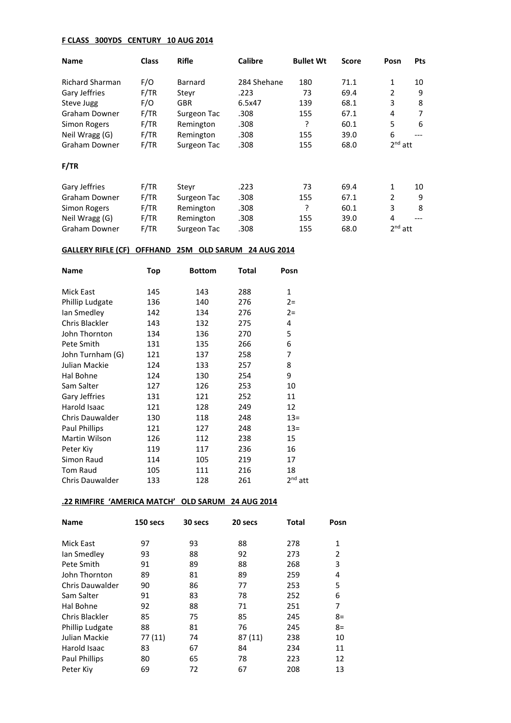### **F CLASS 300YDS CENTURY 10 AUG 2014**

| <b>Name</b>     | <b>Class</b> | <b>Rifle</b> | <b>Calibre</b> | <b>Bullet Wt</b> | <b>Score</b> | Posn      | <b>Pts</b> |
|-----------------|--------------|--------------|----------------|------------------|--------------|-----------|------------|
| Richard Sharman | F/O          | Barnard      | 284 Shehane    | 180              | 71.1         | 1         | 10         |
| Gary Jeffries   | F/TR         | Stevr        | .223           | 73               | 69.4         | 2         | 9          |
| Steve Jugg      | F/O          | <b>GBR</b>   | 6.5x47         | 139              | 68.1         | 3         | 8          |
| Graham Downer   | F/TR         | Surgeon Tac  | .308           | 155              | 67.1         | 4         | 7          |
| Simon Rogers    | F/TR         | Remington    | .308           | ?                | 60.1         | 5         | 6          |
| Neil Wragg (G)  | F/TR         | Remington    | .308           | 155              | 39.0         | 6         |            |
| Graham Downer   | F/TR         | Surgeon Tac  | .308           | 155              | 68.0         | $2nd$ att |            |
| F/TR            |              |              |                |                  |              |           |            |
| Gary Jeffries   | F/TR         | Stevr        | .223           | 73               | 69.4         | 1         | 10         |
| Graham Downer   | F/TR         | Surgeon Tac  | .308           | 155              | 67.1         | 2         | 9          |
| Simon Rogers    | F/TR         | Remington    | .308           | ?                | 60.1         | 3         | 8          |
| Neil Wragg (G)  | F/TR         | Remington    | .308           | 155              | 39.0         | 4         |            |
| Graham Downer   | F/TR         | Surgeon Tac  | .308           | 155              | 68.0         | $2nd$ att |            |

# **GALLERY RIFLE (CF) OFFHAND 25M OLD SARUM 24 AUG 2014**

| <b>Name</b>            | Top | <b>Bottom</b> | Total | Posn      |
|------------------------|-----|---------------|-------|-----------|
| Mick East              | 145 | 143           | 288   | 1         |
| Phillip Ludgate        | 136 | 140           | 276   | $2 =$     |
| lan Smedley            | 142 | 134           | 276   | $2 =$     |
| Chris Blackler         | 143 | 132           | 275   | 4         |
| John Thornton          | 134 | 136           | 270   | 5         |
| Pete Smith             | 131 | 135           | 266   | 6         |
| John Turnham (G)       | 121 | 137           | 258   | 7         |
| Julian Mackie          | 124 | 133           | 257   | 8         |
| Hal Bohne              | 124 | 130           | 254   | 9         |
| Sam Salter             | 127 | 126           | 253   | 10        |
| Gary Jeffries          | 131 | 121           | 252   | 11        |
| Harold Isaac           | 121 | 128           | 249   | 12        |
| <b>Chris Dauwalder</b> | 130 | 118           | 248   | $13=$     |
| Paul Phillips          | 121 | 127           | 248   | $13=$     |
| Martin Wilson          | 126 | 112           | 238   | 15        |
| Peter Kiy              | 119 | 117           | 236   | 16        |
| Simon Raud             | 114 | 105           | 219   | 17        |
| <b>Tom Raud</b>        | 105 | 111           | 216   | 18        |
| Chris Dauwalder        | 133 | 128           | 261   | $2nd$ att |

# **.22 RIMFIRE 'AMERICA MATCH' OLD SARUM 24 AUG 2014**

| <b>Name</b>            | 150 secs | 30 secs | 20 secs | Total | Posn           |
|------------------------|----------|---------|---------|-------|----------------|
| <b>Mick East</b>       | 97       | 93      | 88      | 278   | 1              |
| lan Smedley            | 93       | 88      | 92      | 273   | $\overline{2}$ |
| Pete Smith             | 91       | 89      | 88      | 268   | 3              |
| John Thornton          | 89       | 81      | 89      | 259   | 4              |
| <b>Chris Dauwalder</b> | 90       | 86      | 77      | 253   | 5              |
| Sam Salter             | 91       | 83      | 78      | 252   | 6              |
| Hal Bohne              | 92       | 88      | 71      | 251   | 7              |
| Chris Blackler         | 85       | 75      | 85      | 245   | $8=$           |
| Phillip Ludgate        | 88       | 81      | 76      | 245   | $8=$           |
| Julian Mackie          | 77 (11)  | 74      | 87 (11) | 238   | 10             |
| Harold Isaac           | 83       | 67      | 84      | 234   | 11             |
| Paul Phillips          | 80       | 65      | 78      | 223   | 12             |
| Peter Kiv              | 69       | 72      | 67      | 208   | 13             |